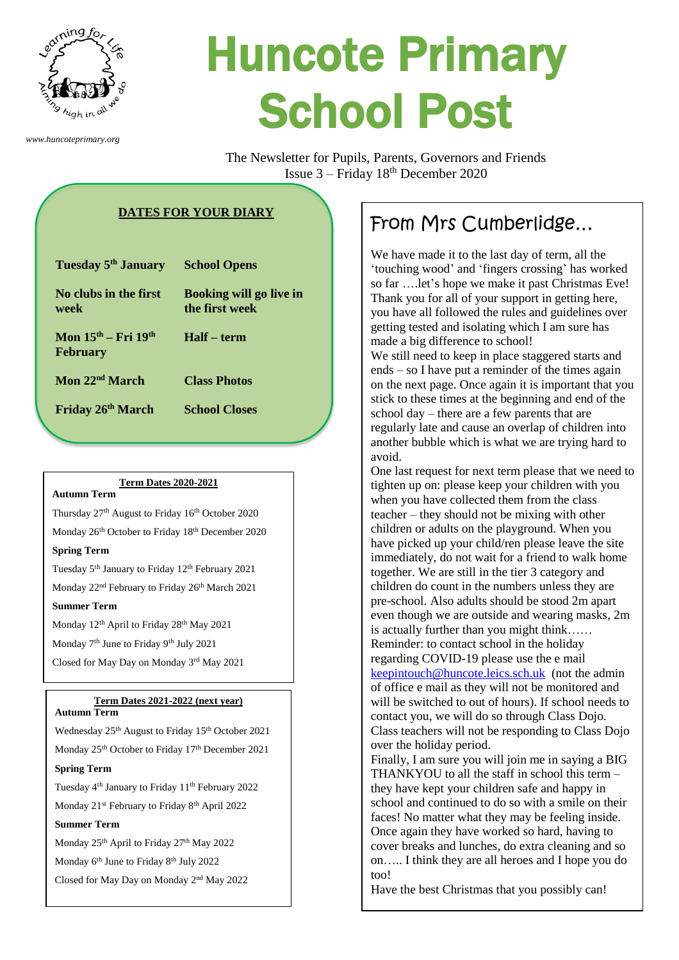

*www.huncoteprimary.org*

# Huncote Primary School Post

The Newsletter for Pupils, Parents, Governors and Friends Issue  $3 -$  Friday  $18<sup>th</sup>$  December 2020

# **DATES FOR YOUR DIARY**

| Tuesday 5 <sup>th</sup> January            | <b>School Opens</b>                              |
|--------------------------------------------|--------------------------------------------------|
| No clubs in the first<br>week              | <b>Booking will go live in</b><br>the first week |
| Mon $15th - Fri$ $19th$<br><b>February</b> | Half – term                                      |
| Mon $22nd$ March                           | <b>Class Photos</b>                              |
| Friday 26th March                          | <b>School Closes</b>                             |

#### **Term Dates 2020-2021**

#### **Autumn Term**

Thursday 27<sup>th</sup> August to Friday 16<sup>th</sup> October 2020 Monday 26<sup>th</sup> October to Friday 18<sup>th</sup> December 2020

#### **Spring Term**

Tuesday 5<sup>th</sup> January to Friday 12<sup>th</sup> February 2021

Monday 22<sup>nd</sup> February to Friday 26<sup>th</sup> March 2021

## **Summer Term**

Monday 12<sup>th</sup> April to Friday 28<sup>th</sup> May 2021

Monday 7<sup>th</sup> June to Friday 9<sup>th</sup> July 2021

Closed for May Day on Monday 3rd May 2021

# **Term Dates 2021-2022 (next year)**

### **Autumn Term**

Wednesday 25<sup>th</sup> August to Friday 15<sup>th</sup> October 2021 Monday 25<sup>th</sup> October to Friday 17<sup>th</sup> December 2021

# **Spring Term**

Tuesday 4<sup>th</sup> January to Friday 11<sup>th</sup> February 2022

# Monday 21<sup>st</sup> February to Friday 8<sup>th</sup> April 2022 **Summer Term**

Monday 25<sup>th</sup> April to Friday 27<sup>th</sup> May 2022

Monday 6<sup>th</sup> June to Friday 8<sup>th</sup> July 2022

Closed for May Day on Monday 2<sup>nd</sup> May 2022

# From Mrs Cumberlidge…

We have made it to the last day of term, all the 'touching wood' and 'fingers crossing' has worked so far ….let's hope we make it past Christmas Eve! Thank you for all of your support in getting here, you have all followed the rules and guidelines over getting tested and isolating which I am sure has made a big difference to school!

We still need to keep in place staggered starts and ends – so I have put a reminder of the times again on the next page. Once again it is important that you stick to these times at the beginning and end of the school day – there are a few parents that are regularly late and cause an overlap of children into another bubble which is what we are trying hard to avoid.

One last request for next term please that we need to tighten up on: please keep your children with you when you have collected them from the class teacher – they should not be mixing with other children or adults on the playground. When you have picked up your child/ren please leave the site immediately, do not wait for a friend to walk home together. We are still in the tier 3 category and children do count in the numbers unless they are pre-school. Also adults should be stood 2m apart even though we are outside and wearing masks, 2m is actually further than you might think…… Reminder: to contact school in the holiday regarding COVID-19 please use the e mail [keepintouch@huncote.leics.sch.uk](mailto:keepintouch@huncote.leics.sch.uk) (not the admin of office e mail as they will not be monitored and will be switched to out of hours). If school needs to contact you, we will do so through Class Dojo. Class teachers will not be responding to Class Dojo over the holiday period.

Finally, I am sure you will join me in saying a BIG THANKYOU to all the staff in school this term – they have kept your children safe and happy in school and continued to do so with a smile on their faces! No matter what they may be feeling inside. Once again they have worked so hard, having to cover breaks and lunches, do extra cleaning and so on….. I think they are all heroes and I hope you do too!

Have the best Christmas that you possibly can!